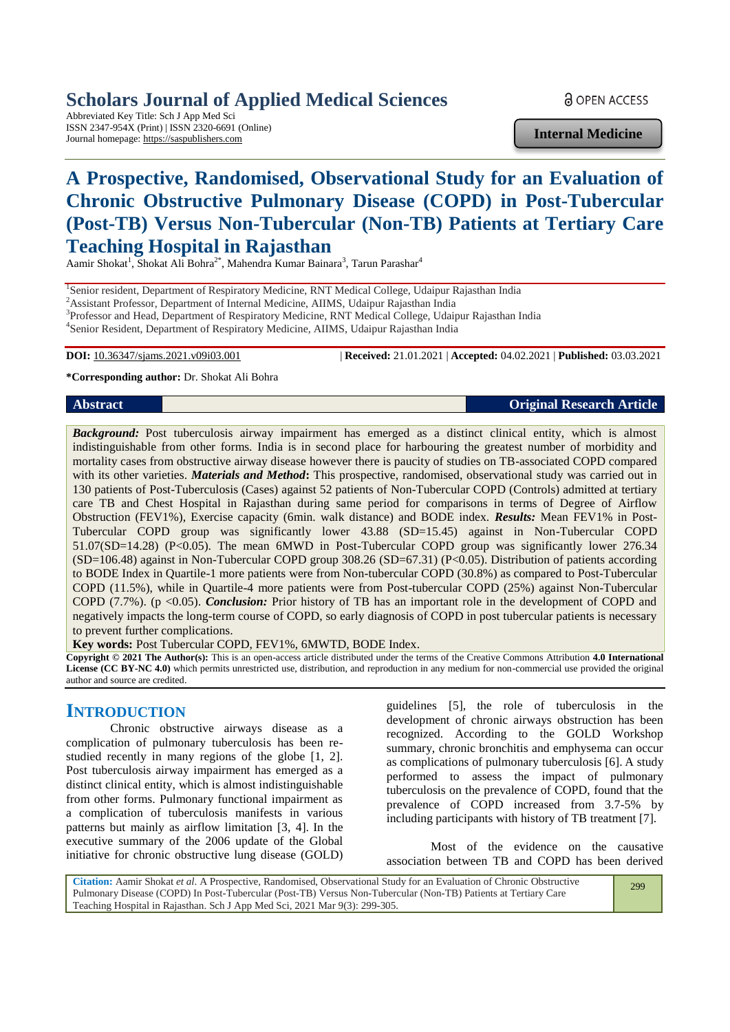# **Scholars Journal of Applied Medical Sciences**

Abbreviated Key Title: Sch J App Med Sci ISSN 2347-954X (Print) | ISSN 2320-6691 (Online) Journal homepage: https://saspublishers.com

**Internal Medicine**

# **A Prospective, Randomised, Observational Study for an Evaluation of Chronic Obstructive Pulmonary Disease (COPD) in Post-Tubercular (Post-TB) Versus Non-Tubercular (Non-TB) Patients at Tertiary Care Teaching Hospital in Rajasthan**

Aamir Shokat<sup>1</sup>, Shokat Ali Bohra<sup>2\*</sup>, Mahendra Kumar Bainara<sup>3</sup>, Tarun Parashar<sup>4</sup>

<sup>1</sup>Senior resident, Department of Respiratory Medicine, RNT Medical College, Udaipur Rajasthan India

<sup>2</sup>Assistant Professor, Department of Internal Medicine, AIIMS, Udaipur Rajasthan India

<sup>3</sup>Professor and Head, Department of Respiratory Medicine, RNT Medical College, Udaipur Rajasthan India

4 Senior Resident, Department of Respiratory Medicine, AIIMS, Udaipur Rajasthan India

**DOI:** 10.36347/sjams.2021.v09i03.001 | **Received:** 21.01.2021 | **Accepted:** 04.02.2021 | **Published:** 03.03.2021

**\*Corresponding author:** Dr. Shokat Ali Bohra

#### **Abstract Original Research Article**

*Background:* Post tuberculosis airway impairment has emerged as a distinct clinical entity, which is almost indistinguishable from other forms. India is in second place for harbouring the greatest number of morbidity and mortality cases from obstructive airway disease however there is paucity of studies on TB-associated COPD compared with its other varieties. *Materials and Method***:** This prospective, randomised, observational study was carried out in 130 patients of Post-Tuberculosis (Cases) against 52 patients of Non-Tubercular COPD (Controls) admitted at tertiary care TB and Chest Hospital in Rajasthan during same period for comparisons in terms of Degree of Airflow Obstruction (FEV1%), Exercise capacity (6min. walk distance) and BODE index. *Results:* Mean FEV1% in Post-Tubercular COPD group was significantly lower 43.88 (SD=15.45) against in Non-Tubercular COPD 51.07(SD=14.28) (P<0.05). The mean 6MWD in Post-Tubercular COPD group was significantly lower 276.34 (SD=106.48) against in Non-Tubercular COPD group 308.26 (SD=67.31) (P<0.05). Distribution of patients according to BODE Index in Quartile-1 more patients were from Non-tubercular COPD (30.8%) as compared to Post-Tubercular COPD (11.5%), while in Quartile-4 more patients were from Post-tubercular COPD (25%) against Non-Tubercular COPD (7.7%). (p <0.05). *Conclusion:* Prior history of TB has an important role in the development of COPD and negatively impacts the long-term course of COPD, so early diagnosis of COPD in post tubercular patients is necessary to prevent further complications.

**Key words:** Post Tubercular COPD, FEV1%, 6MWTD, BODE Index.

**Copyright © 2021 The Author(s):** This is an open-access article distributed under the terms of the Creative Commons Attribution **4.0 International License (CC BY-NC 4.0)** which permits unrestricted use, distribution, and reproduction in any medium for non-commercial use provided the original author and source are credited.

# **INTRODUCTION**

Chronic obstructive airways disease as a complication of pulmonary tuberculosis has been restudied recently in many regions of the globe [1, 2]. Post tuberculosis airway impairment has emerged as a distinct clinical entity, which is almost indistinguishable from other forms. Pulmonary functional impairment as a complication of tuberculosis manifests in various patterns but mainly as airflow limitation [3, 4]. In the executive summary of the 2006 update of the Global initiative for chronic obstructive lung disease (GOLD)

guidelines [5], the role of tuberculosis in the development of chronic airways obstruction has been recognized. According to the GOLD Workshop summary, chronic bronchitis and emphysema can occur as complications of pulmonary tuberculosis [6]. A study performed to assess the impact of pulmonary tuberculosis on the prevalence of COPD, found that the prevalence of COPD increased from 3.7-5% by including participants with history of TB treatment [7].

Most of the evidence on the causative association between TB and COPD has been derived

299

**Citation:** Aamir Shokat *et al*. A Prospective, Randomised, Observational Study for an Evaluation of Chronic Obstructive Pulmonary Disease (COPD) In Post-Tubercular (Post-TB) Versus Non-Tubercular (Non-TB) Patients at Tertiary Care Teaching Hospital in Rajasthan. Sch J App Med Sci, 2021 Mar 9(3): 299-305.

**a** OPEN ACCESS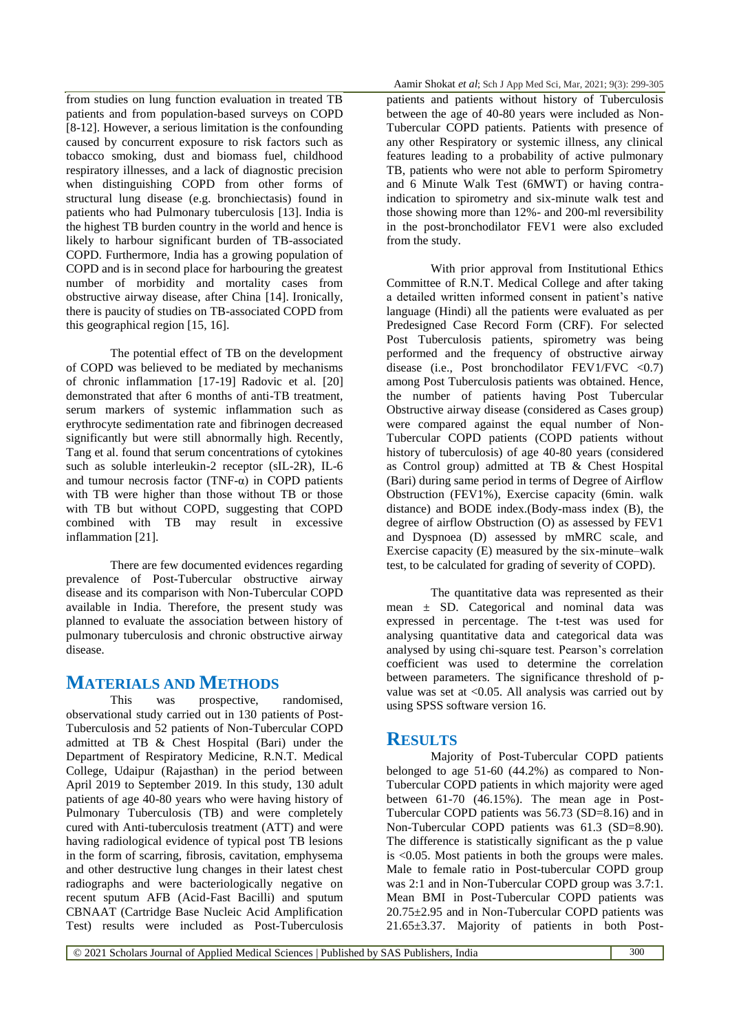from studies on lung function evaluation in treated TB patients and from population-based surveys on COPD [8-12]. However, a serious limitation is the confounding caused by concurrent exposure to risk factors such as tobacco smoking, dust and biomass fuel, childhood respiratory illnesses, and a lack of diagnostic precision when distinguishing COPD from other forms of structural lung disease (e.g. bronchiectasis) found in patients who had Pulmonary tuberculosis [13]. India is the highest TB burden country in the world and hence is likely to harbour significant burden of TB-associated COPD. Furthermore, India has a growing population of COPD and is in second place for harbouring the greatest number of morbidity and mortality cases from obstructive airway disease, after China [14]. Ironically, there is paucity of studies on TB-associated COPD from this geographical region [15, 16].

The potential effect of TB on the development of COPD was believed to be mediated by mechanisms of chronic inflammation [17-19] Radovic et al. [20] demonstrated that after 6 months of anti-TB treatment, serum markers of systemic inflammation such as erythrocyte sedimentation rate and fibrinogen decreased significantly but were still abnormally high. Recently, Tang et al. found that serum concentrations of cytokines such as soluble interleukin-2 receptor (sIL-2R), IL-6 and tumour necrosis factor (TNF- $\alpha$ ) in COPD patients with TB were higher than those without TB or those with TB but without COPD, suggesting that COPD combined with TB may result in excessive inflammation [21].

There are few documented evidences regarding prevalence of Post-Tubercular obstructive airway disease and its comparison with Non-Tubercular COPD available in India. Therefore, the present study was planned to evaluate the association between history of pulmonary tuberculosis and chronic obstructive airway disease.

### **MATERIALS AND METHODS**

This was prospective, randomised, observational study carried out in 130 patients of Post-Tuberculosis and 52 patients of Non-Tubercular COPD admitted at TB & Chest Hospital (Bari) under the Department of Respiratory Medicine, R.N.T. Medical College, Udaipur (Rajasthan) in the period between April 2019 to September 2019. In this study, 130 adult patients of age 40-80 years who were having history of Pulmonary Tuberculosis (TB) and were completely cured with Anti-tuberculosis treatment (ATT) and were having radiological evidence of typical post TB lesions in the form of scarring, fibrosis, cavitation, emphysema and other destructive lung changes in their latest chest radiographs and were bacteriologically negative on recent sputum AFB (Acid-Fast Bacilli) and sputum CBNAAT (Cartridge Base Nucleic Acid Amplification Test) results were included as Post-Tuberculosis

patients and patients without history of Tuberculosis between the age of 40-80 years were included as Non-Tubercular COPD patients. Patients with presence of any other Respiratory or systemic illness, any clinical features leading to a probability of active pulmonary TB, patients who were not able to perform Spirometry and 6 Minute Walk Test (6MWT) or having contraindication to spirometry and six-minute walk test and those showing more than 12%- and 200-ml reversibility in the post-bronchodilator FEV1 were also excluded from the study.

With prior approval from Institutional Ethics Committee of R.N.T. Medical College and after taking a detailed written informed consent in patient's native language (Hindi) all the patients were evaluated as per Predesigned Case Record Form (CRF). For selected Post Tuberculosis patients, spirometry was being performed and the frequency of obstructive airway disease (i.e., Post bronchodilator FEV1/FVC  $\langle 0.7 \rangle$ among Post Tuberculosis patients was obtained. Hence, the number of patients having Post Tubercular Obstructive airway disease (considered as Cases group) were compared against the equal number of Non-Tubercular COPD patients (COPD patients without history of tuberculosis) of age 40-80 years (considered as Control group) admitted at TB & Chest Hospital (Bari) during same period in terms of Degree of Airflow Obstruction (FEV1%), Exercise capacity (6min. walk distance) and BODE index.(Body-mass index (B), the degree of airflow Obstruction (O) as assessed by FEV1 and Dyspnoea (D) assessed by mMRC scale, and Exercise capacity (E) measured by the six-minute–walk test, to be calculated for grading of severity of COPD).

The quantitative data was represented as their mean  $\pm$  SD. Categorical and nominal data was expressed in percentage. The t-test was used for analysing quantitative data and categorical data was analysed by using chi-square test. Pearson's correlation coefficient was used to determine the correlation between parameters. The significance threshold of pvalue was set at  $\langle 0.05, A \rangle$  analysis was carried out by using SPSS software version 16.

### **RESULTS**

Majority of Post-Tubercular COPD patients belonged to age 51-60 (44.2%) as compared to Non-Tubercular COPD patients in which majority were aged between 61-70 (46.15%). The mean age in Post-Tubercular COPD patients was 56.73 (SD=8.16) and in Non-Tubercular COPD patients was 61.3 (SD=8.90). The difference is statistically significant as the p value is <0.05. Most patients in both the groups were males. Male to female ratio in Post-tubercular COPD group was 2:1 and in Non-Tubercular COPD group was 3.7:1. Mean BMI in Post-Tubercular COPD patients was 20.75±2.95 and in Non-Tubercular COPD patients was 21.65±3.37. Majority of patients in both Post-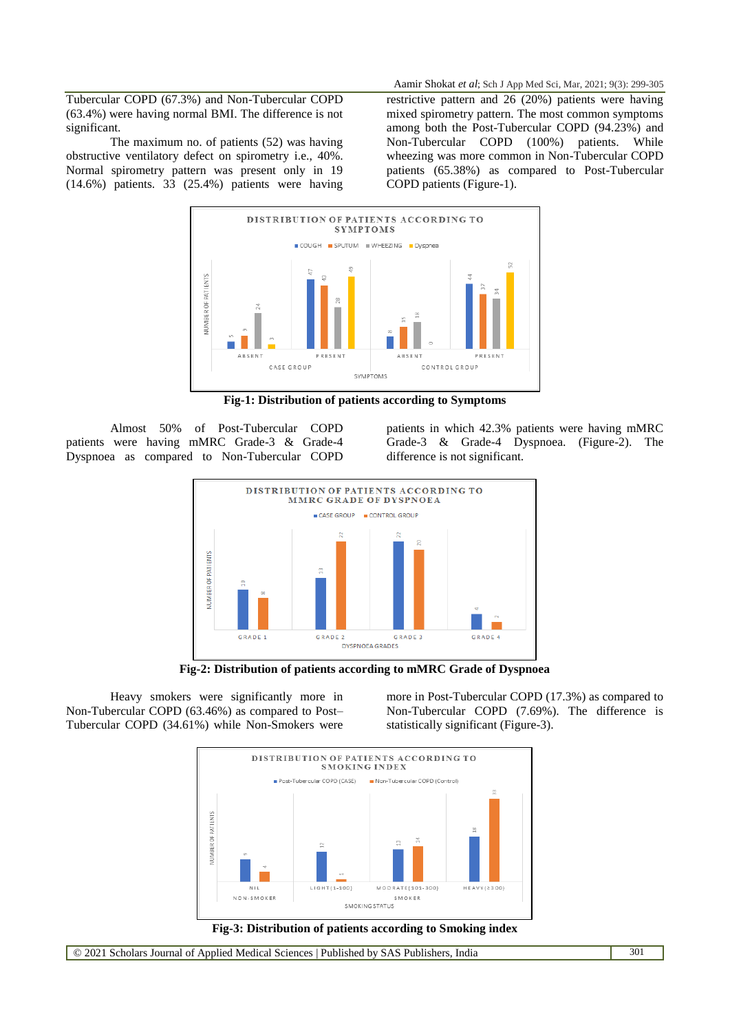Tubercular COPD (67.3%) and Non-Tubercular COPD (63.4%) were having normal BMI. The difference is not significant.

The maximum no. of patients (52) was having obstructive ventilatory defect on spirometry i.e., 40%. Normal spirometry pattern was present only in 19 (14.6%) patients. 33 (25.4%) patients were having

Aamir Shokat *et al*; Sch J App Med Sci, Mar, 2021; 9(3): 299-305

restrictive pattern and 26 (20%) patients were having mixed spirometry pattern. The most common symptoms among both the Post-Tubercular COPD (94.23%) and Non-Tubercular COPD (100%) patients. While wheezing was more common in Non-Tubercular COPD patients (65.38%) as compared to Post-Tubercular COPD patients (Figure-1).



**Fig-1: Distribution of patients according to Symptoms**

Almost 50% of Post-Tubercular COPD patients were having mMRC Grade-3 & Grade-4 Dyspnoea as compared to Non-Tubercular COPD patients in which 42.3% patients were having mMRC Grade-3 & Grade-4 Dyspnoea. (Figure-2). The difference is not significant.



**Fig-2: Distribution of patients according to mMRC Grade of Dyspnoea**

Heavy smokers were significantly more in Non-Tubercular COPD (63.46%) as compared to Post– Tubercular COPD (34.61%) while Non-Smokers were

more in Post-Tubercular COPD (17.3%) as compared to Non-Tubercular COPD (7.69%). The difference is statistically significant (Figure-3).

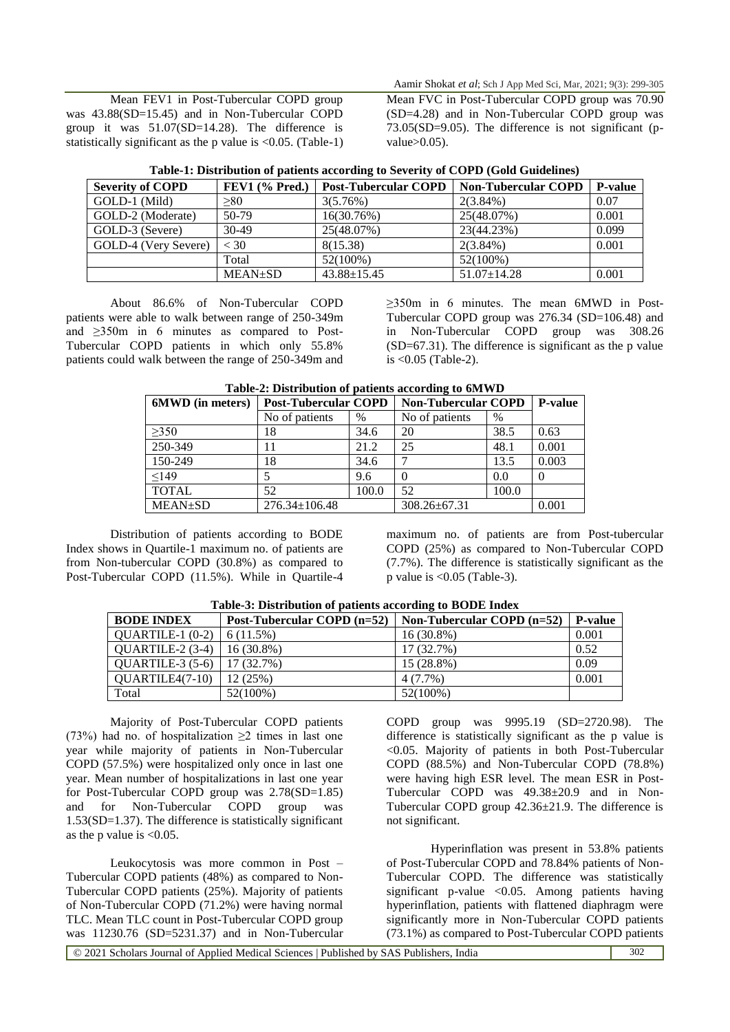Mean FEV1 in Post-Tubercular COPD group was 43.88(SD=15.45) and in Non-Tubercular COPD group it was 51.07(SD=14.28). The difference is statistically significant as the p value is <0.05. (Table-1)

Aamir Shokat *et al*; Sch J App Med Sci, Mar, 2021; 9(3): 299-305 Mean FVC in Post-Tubercular COPD group was 70.90 (SD=4.28) and in Non-Tubercular COPD group was 73.05(SD=9.05). The difference is not significant (pvalue $>0.05$ ).

| Table-1: Distribution of patients according to Severity of COPD (Gold Guidelines) |  |                                                                           |  |  |
|-----------------------------------------------------------------------------------|--|---------------------------------------------------------------------------|--|--|
| $\alpha$ f COPD                                                                   |  | <b>EEV1</b> (% Prod )   Post-Tubercular COPD   Non-Tubercular COPD   P-vq |  |  |

| <b>Severity of COPD</b> | FEV1 $(\%$ Pred.) | <b>Post-Tubercular COPD</b> | Non-Tubercular COPD | <b>P-value</b> |
|-------------------------|-------------------|-----------------------------|---------------------|----------------|
| GOLD-1 (Mild)           | >80               | 3(5.76%)                    | $2(3.84\%)$         | 0.07           |
| GOLD-2 (Moderate)       | 50-79             | 16(30.76%)                  | 25(48.07%)          | 0.001          |
| GOLD-3 (Severe)         | $30-49$           | 25(48.07%)                  | 23(44.23%)          | 0.099          |
| GOLD-4 (Very Severe)    | $<$ 30            | 8(15.38)                    | $2(3.84\%)$         | 0.001          |
|                         | Total             | $52(100\%)$                 | 52(100%)            |                |
|                         | <b>MEAN</b> ±SD   | $43.88 \pm 15.45$           | $51.07 \pm 14.28$   | 0.001          |

About 86.6% of Non-Tubercular COPD patients were able to walk between range of 250-349m and ≥350m in 6 minutes as compared to Post-Tubercular COPD patients in which only 55.8% patients could walk between the range of 250-349m and

≥350m in 6 minutes. The mean 6MWD in Post-Tubercular COPD group was 276.34 (SD=106.48) and in Non-Tubercular COPD group was 308.26 (SD=67.31). The difference is significant as the p value is <0.05 (Table-2).

| THEIR STREET OF BRIDGE SECONDITY CONTRACTS TO SHARIT D |                             |       |                            |       |                |
|--------------------------------------------------------|-----------------------------|-------|----------------------------|-------|----------------|
| 6MWD (in meters)                                       | <b>Post-Tubercular COPD</b> |       | <b>Non-Tubercular COPD</b> |       | <b>P-value</b> |
|                                                        | No of patients              | $\%$  | No of patients             | %     |                |
| >350                                                   | 18                          | 34.6  | 20                         | 38.5  | 0.63           |
| 250-349                                                |                             | 21.2  | 25                         | 48.1  | 0.001          |
| 150-249                                                | 18                          | 34.6  |                            | 13.5  | 0.003          |
| < 149                                                  |                             | 9.6   |                            | 0.0   |                |
| <b>TOTAL</b>                                           | 52                          | 100.0 | 52                         | 100.0 |                |
| <b>MEAN</b> ±SD                                        | $276.34 \pm 106.48$         |       | $308.26 \pm 67.31$         |       | 0.001          |

#### **Table-2: Distribution of patients according to 6MWD**

Distribution of patients according to BODE Index shows in Quartile-1 maximum no. of patients are from Non-tubercular COPD (30.8%) as compared to Post-Tubercular COPD (11.5%). While in Quartile-4

maximum no. of patients are from Post-tubercular COPD (25%) as compared to Non-Tubercular COPD (7.7%). The difference is statistically significant as the p value is  $< 0.05$  (Table-3).

| <b>BODE INDEX</b>        | Post-Tubercular COPD (n=52) | Non-Tubercular COPD $(n=52)$ | <b>P-value</b> |
|--------------------------|-----------------------------|------------------------------|----------------|
| $QUARTILE-1 (0-2)$       | $6(11.5\%)$                 | $16(30.8\%)$                 | 0.001          |
| $\vert$ QUARTILE-2 (3-4) | $16(30.8\%)$                | $17(32.7\%)$                 | 0.52           |
| QUARTILE-3 $(5-6)$       | 17(32.7%)                   | 15 (28.8%)                   | 0.09           |
| $QUARTILE4(7-10)$        | 12(25%)                     | $4(7.7\%)$                   | 0.001          |
| Total                    | $52(100\%)$                 | 52(100%)                     |                |

**Table-3: Distribution of patients according to BODE Index**

Majority of Post-Tubercular COPD patients (73%) had no. of hospitalization  $\geq 2$  times in last one year while majority of patients in Non-Tubercular COPD (57.5%) were hospitalized only once in last one year. Mean number of hospitalizations in last one year for Post-Tubercular COPD group was 2.78(SD=1.85) and for Non-Tubercular COPD group was 1.53(SD=1.37). The difference is statistically significant as the p value is  $<0.05$ .

Leukocytosis was more common in Post – Tubercular COPD patients (48%) as compared to Non-Tubercular COPD patients (25%). Majority of patients of Non-Tubercular COPD (71.2%) were having normal TLC. Mean TLC count in Post-Tubercular COPD group was 11230.76 (SD=5231.37) and in Non-Tubercular COPD group was 9995.19 (SD=2720.98). The difference is statistically significant as the p value is <0.05. Majority of patients in both Post-Tubercular COPD (88.5%) and Non-Tubercular COPD (78.8%) were having high ESR level. The mean ESR in Post-Tubercular COPD was 49.38±20.9 and in Non-Tubercular COPD group 42.36±21.9. The difference is not significant.

Hyperinflation was present in 53.8% patients of Post-Tubercular COPD and 78.84% patients of Non-Tubercular COPD. The difference was statistically significant p-value  $\langle 0.05$ . Among patients having hyperinflation, patients with flattened diaphragm were significantly more in Non-Tubercular COPD patients (73.1%) as compared to Post-Tubercular COPD patients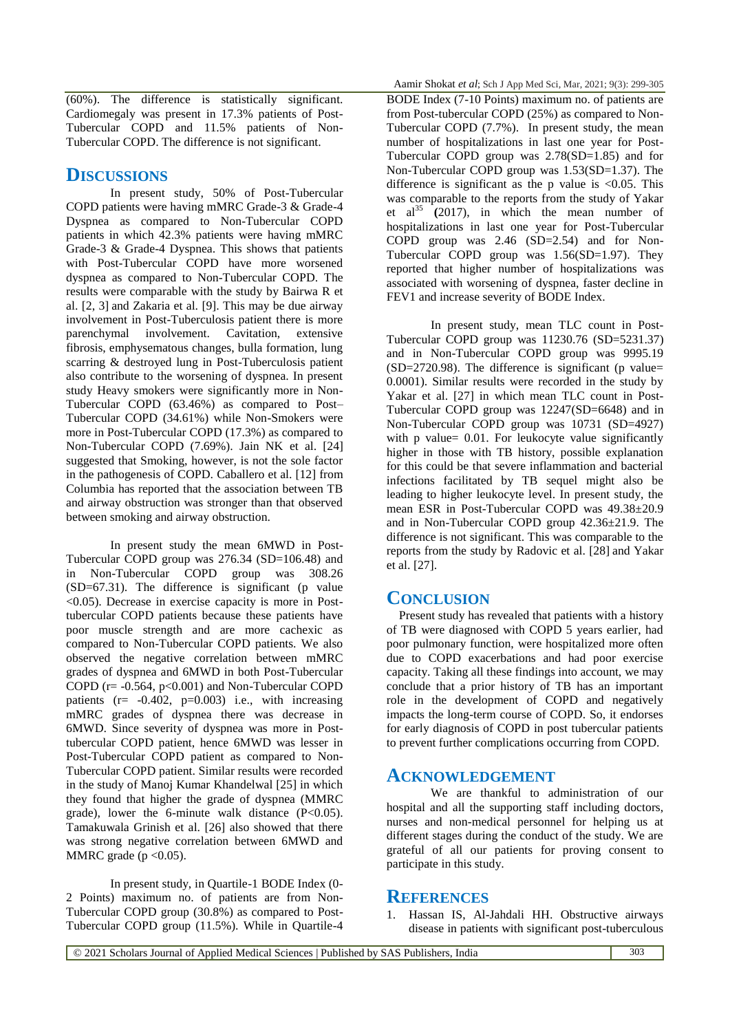(60%). The difference is statistically significant. Cardiomegaly was present in 17.3% patients of Post-Tubercular COPD and 11.5% patients of Non-Tubercular COPD. The difference is not significant.

# **DISCUSSIONS**

In present study, 50% of Post-Tubercular COPD patients were having mMRC Grade-3 & Grade-4 Dyspnea as compared to Non-Tubercular COPD patients in which 42.3% patients were having mMRC Grade-3 & Grade-4 Dyspnea. This shows that patients with Post-Tubercular COPD have more worsened dyspnea as compared to Non-Tubercular COPD. The results were comparable with the study by Bairwa R et al. [2, 3] and Zakaria et al. [9]. This may be due airway involvement in Post-Tuberculosis patient there is more parenchymal involvement. Cavitation, extensive fibrosis, emphysematous changes, bulla formation, lung scarring & destroyed lung in Post-Tuberculosis patient also contribute to the worsening of dyspnea. In present study Heavy smokers were significantly more in Non-Tubercular COPD (63.46%) as compared to Post– Tubercular COPD (34.61%) while Non-Smokers were more in Post-Tubercular COPD (17.3%) as compared to Non-Tubercular COPD (7.69%). Jain NK et al. [24] suggested that Smoking, however, is not the sole factor in the pathogenesis of COPD. Caballero et al. [12] from Columbia has reported that the association between TB and airway obstruction was stronger than that observed between smoking and airway obstruction.

In present study the mean 6MWD in Post-Tubercular COPD group was 276.34 (SD=106.48) and in Non-Tubercular COPD group was 308.26 (SD=67.31). The difference is significant (p value  $\leq$ 0.05). Decrease in exercise capacity is more in Posttubercular COPD patients because these patients have poor muscle strength and are more cachexic as compared to Non-Tubercular COPD patients. We also observed the negative correlation between mMRC grades of dyspnea and 6MWD in both Post-Tubercular COPD ( $r = -0.564$ ,  $p < 0.001$ ) and Non-Tubercular COPD patients  $(r=-0.402, p=0.003)$  i.e., with increasing mMRC grades of dyspnea there was decrease in 6MWD. Since severity of dyspnea was more in Posttubercular COPD patient, hence 6MWD was lesser in Post-Tubercular COPD patient as compared to Non-Tubercular COPD patient. Similar results were recorded in the study of Manoj Kumar Khandelwal [25] in which they found that higher the grade of dyspnea (MMRC grade), lower the 6-minute walk distance (P<0.05). Tamakuwala Grinish et al. [26] also showed that there was strong negative correlation between 6MWD and MMRC grade ( $p < 0.05$ ).

In present study, in Quartile-1 BODE Index (0- 2 Points) maximum no. of patients are from Non-Tubercular COPD group (30.8%) as compared to Post-Tubercular COPD group (11.5%). While in Quartile-4 Aamir Shokat *et al*; Sch J App Med Sci, Mar, 2021; 9(3): 299-305

BODE Index (7-10 Points) maximum no. of patients are from Post-tubercular COPD (25%) as compared to Non-Tubercular COPD (7.7%). In present study, the mean number of hospitalizations in last one year for Post-Tubercular COPD group was 2.78(SD=1.85) and for Non-Tubercular COPD group was 1.53(SD=1.37). The difference is significant as the p value is  $\langle 0.05, \text{ This} \rangle$ was comparable to the reports from the study of Yakar et al<sup>35</sup>  $(2017)$ , in which the mean number of hospitalizations in last one year for Post-Tubercular COPD group was 2.46 (SD=2.54) and for Non-Tubercular COPD group was  $1.56(SD=1.97)$ . They reported that higher number of hospitalizations was associated with worsening of dyspnea, faster decline in FEV1 and increase severity of BODE Index.

In present study, mean TLC count in Post-Tubercular COPD group was 11230.76 (SD=5231.37) and in Non-Tubercular COPD group was 9995.19  $(SD=2720.98)$ . The difference is significant (p value= 0.0001). Similar results were recorded in the study by Yakar et al. [27] in which mean TLC count in Post-Tubercular COPD group was 12247(SD=6648) and in Non-Tubercular COPD group was 10731 (SD=4927) with p value= 0.01. For leukocyte value significantly higher in those with TB history, possible explanation for this could be that severe inflammation and bacterial infections facilitated by TB sequel might also be leading to higher leukocyte level. In present study, the mean ESR in Post-Tubercular COPD was 49.38±20.9 and in Non-Tubercular COPD group 42.36±21.9. The difference is not significant. This was comparable to the reports from the study by Radovic et al. [28] and Yakar et al. [27].

# **CONCLUSION**

Present study has revealed that patients with a history of TB were diagnosed with COPD 5 years earlier, had poor pulmonary function, were hospitalized more often due to COPD exacerbations and had poor exercise capacity. Taking all these findings into account, we may conclude that a prior history of TB has an important role in the development of COPD and negatively impacts the long-term course of COPD. So, it endorses for early diagnosis of COPD in post tubercular patients to prevent further complications occurring from COPD.

### **ACKNOWLEDGEMENT**

We are thankful to administration of our hospital and all the supporting staff including doctors, nurses and non-medical personnel for helping us at different stages during the conduct of the study. We are grateful of all our patients for proving consent to participate in this study.

### **REFERENCES**

1. Hassan IS, Al-Jahdali HH. Obstructive airways disease in patients with significant post-tuberculous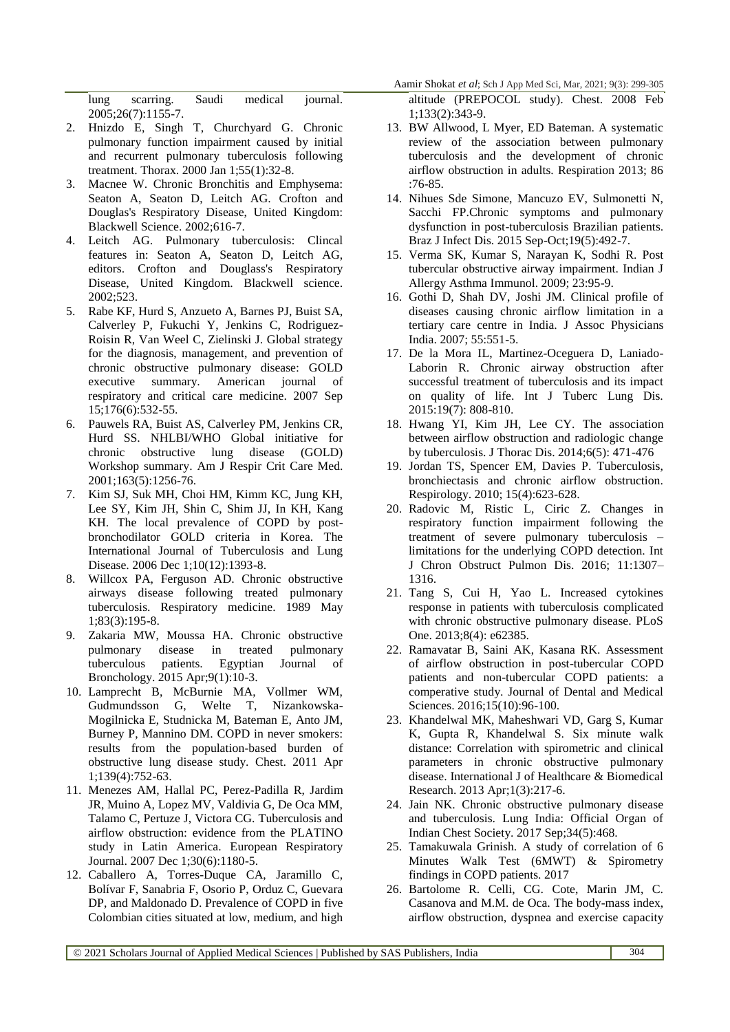Aamir Shokat *et al*; Sch J App Med Sci, Mar, 2021; 9(3): 299-305

lung scarring. Saudi medical journal. 2005;26(7):1155-7.

- 2. Hnizdo E, Singh T, Churchyard G. Chronic pulmonary function impairment caused by initial and recurrent pulmonary tuberculosis following treatment. Thorax. 2000 Jan 1;55(1):32-8.
- 3. Macnee W. Chronic Bronchitis and Emphysema: Seaton A, Seaton D, Leitch AG. Crofton and Douglas's Respiratory Disease, United Kingdom: Blackwell Science. 2002;616-7.
- 4. Leitch AG. Pulmonary tuberculosis: Clincal features in: Seaton A, Seaton D, Leitch AG, editors. Crofton and Douglass's Respiratory Disease, United Kingdom. Blackwell science. 2002;523.
- 5. Rabe KF, Hurd S, Anzueto A, Barnes PJ, Buist SA, Calverley P, Fukuchi Y, Jenkins C, Rodriguez-Roisin R, Van Weel C, Zielinski J. Global strategy for the diagnosis, management, and prevention of chronic obstructive pulmonary disease: GOLD executive summary. American journal of respiratory and critical care medicine. 2007 Sep 15;176(6):532-55.
- 6. Pauwels RA, Buist AS, Calverley PM, Jenkins CR, Hurd SS. NHLBI/WHO Global initiative for chronic obstructive lung disease (GOLD) Workshop summary. Am J Respir Crit Care Med. 2001;163(5):1256-76.
- 7. Kim SJ, Suk MH, Choi HM, Kimm KC, Jung KH, Lee SY, Kim JH, Shin C, Shim JJ, In KH, Kang KH. The local prevalence of COPD by postbronchodilator GOLD criteria in Korea. The International Journal of Tuberculosis and Lung Disease. 2006 Dec 1;10(12):1393-8.
- 8. Willcox PA, Ferguson AD. Chronic obstructive airways disease following treated pulmonary tuberculosis. Respiratory medicine. 1989 May 1;83(3):195-8.
- 9. Zakaria MW, Moussa HA. Chronic obstructive pulmonary disease in treated pulmonary tuberculous patients. Egyptian Journal of Bronchology. 2015 Apr;9(1):10-3.
- 10. Lamprecht B, McBurnie MA, Vollmer WM, Gudmundsson G, Welte T, Nizankowska-Mogilnicka E, Studnicka M, Bateman E, Anto JM, Burney P, Mannino DM. COPD in never smokers: results from the population-based burden of obstructive lung disease study. Chest. 2011 Apr 1;139(4):752-63.
- 11. Menezes AM, Hallal PC, Perez-Padilla R, Jardim JR, Muino A, Lopez MV, Valdivia G, De Oca MM, Talamo C, Pertuze J, Victora CG. Tuberculosis and airflow obstruction: evidence from the PLATINO study in Latin America. European Respiratory Journal. 2007 Dec 1;30(6):1180-5.
- 12. Caballero A, Torres-Duque CA, Jaramillo C, Bolívar F, Sanabria F, Osorio P, Orduz C, Guevara DP, and Maldonado D. Prevalence of COPD in five Colombian cities situated at low, medium, and high

altitude (PREPOCOL study). Chest. 2008 Feb 1;133(2):343-9.

- 13. BW Allwood, L Myer, ED Bateman. A systematic review of the association between pulmonary tuberculosis and the development of chronic airflow obstruction in adults. Respiration 2013; 86 :76-85.
- 14. Nihues Sde Simone, Mancuzo EV, Sulmonetti N, Sacchi FP.Chronic symptoms and pulmonary dysfunction in post-tuberculosis Brazilian patients. Braz J Infect Dis. 2015 Sep-Oct;19(5):492-7.
- 15. Verma SK, Kumar S, Narayan K, Sodhi R. Post tubercular obstructive airway impairment. Indian J Allergy Asthma Immunol. 2009; 23:95-9.
- 16. Gothi D, Shah DV, Joshi JM. Clinical profile of diseases causing chronic airflow limitation in a tertiary care centre in India. J Assoc Physicians India. 2007; 55:551-5.
- 17. De la Mora IL, Martinez-Oceguera D, Laniado-Laborin R. Chronic airway obstruction after successful treatment of tuberculosis and its impact on quality of life. Int J Tuberc Lung Dis. 2015:19(7): 808-810.
- 18. Hwang YI, Kim JH, Lee CY. The association between airflow obstruction and radiologic change by tuberculosis. J Thorac Dis. 2014;6(5): 471-476
- 19. Jordan TS, Spencer EM, Davies P. Tuberculosis, bronchiectasis and chronic airflow obstruction. Respirology. 2010; 15(4):623-628.
- 20. Radovic M, Ristic L, Ciric Z. Changes in respiratory function impairment following the treatment of severe pulmonary tuberculosis – limitations for the underlying COPD detection. Int J Chron Obstruct Pulmon Dis. 2016; 11:1307– 1316.
- 21. Tang S, Cui H, Yao L. Increased cytokines response in patients with tuberculosis complicated with chronic obstructive pulmonary disease. PLoS One. 2013;8(4): e62385.
- 22. Ramavatar B, Saini AK, Kasana RK. Assessment of airflow obstruction in post-tubercular COPD patients and non-tubercular COPD patients: a comperative study. Journal of Dental and Medical Sciences. 2016;15(10):96-100.
- 23. Khandelwal MK, Maheshwari VD, Garg S, Kumar K, Gupta R, Khandelwal S. Six minute walk distance: Correlation with spirometric and clinical parameters in chronic obstructive pulmonary disease. International J of Healthcare & Biomedical Research. 2013 Apr;1(3):217-6.
- 24. Jain NK. Chronic obstructive pulmonary disease and tuberculosis. Lung India: Official Organ of Indian Chest Society. 2017 Sep;34(5):468.
- 25. Tamakuwala Grinish. A study of correlation of 6 Minutes Walk Test (6MWT) & Spirometry findings in COPD patients. 2017
- 26. Bartolome R. Celli, CG. Cote, Marin JM, C. Casanova and M.M. de Oca. The body-mass index, airflow obstruction, dyspnea and exercise capacity